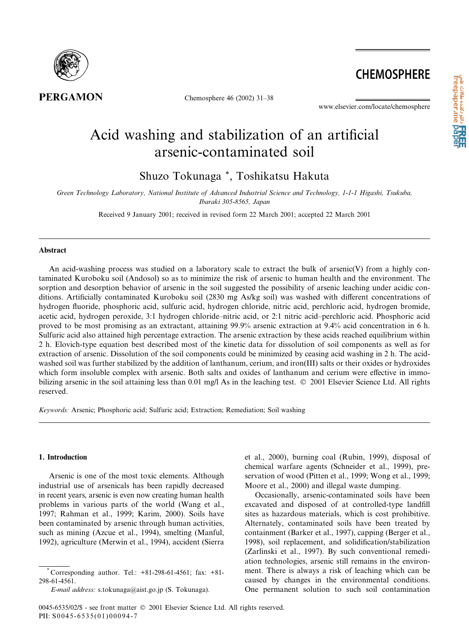

Chemosphere 46 (2002) 31-38

# Acid washing and stabilization of an artificial arsenic-contaminated soil

Shuzo Tokunaga\*, Toshikatsu Hakuta

Green Technology Laboratory, National Institute of Advanced Industrial Science and Technology, 1-1-1 Higashi, Tsukuba, Ibaraki 305-8565, Japan

Received 9 January 2001; received in revised form 22 March 2001; accepted 22 March 2001

## **Abstract**

An acid-washing process was studied on a laboratory scale to extract the bulk of arsenic(V) from a highly contaminated Kuroboku soil (Andosol) so as to minimize the risk of arsenic to human health and the environment. The sorption and desorption behavior of arsenic in the soil suggested the possibility of arsenic leaching under acidic conditions. Artificially contaminated Kuroboku soil (2830 mg As/kg soil) was washed with different concentrations of hydrogen fluoride, phosphoric acid, sulfuric acid, hydrogen chloride, nitric acid, perchloric acid, hydrogen bromide, acetic acid, hydrogen peroxide, 3:1 hydrogen chloride-nitric acid, or 2:1 nitric acid-perchloric acid. Phosphoric acid proved to be most promising as an extractant, attaining 99.9% arsenic extraction at 9.4% acid concentration in 6 h. Sulfuric acid also attained high percentage extraction. The arsenic extraction by these acids reached equilibrium within 2 h. Elovich-type equation best described most of the kinetic data for dissolution of soil components as well as for extraction of arsenic. Dissolution of the soil components could be minimized by ceasing acid washing in 2 h. The acidwashed soil was further stabilized by the addition of lanthanum, cerium, and iron(III) salts or their oxides or hydroxides which form insoluble complex with arsenic. Both salts and oxides of lanthanum and cerium were effective in immobilizing arsenic in the soil attaining less than 0.01 mg/l As in the leaching test.  $\circ$  2001 Elsevier Science Ltd. All rights reserved.

Keywords: Arsenic; Phosphoric acid; Sulfuric acid; Extraction; Remediation; Soil washing

# 1. Introduction

Arsenic is one of the most toxic elements. Although industrial use of arsenicals has been rapidly decreased in recent years, arsenic is even now creating human health problems in various parts of the world (Wang et al., 1997; Rahman et al., 1999; Karim, 2000). Soils have been contaminated by arsenic through human activities, such as mining (Azcue et al., 1994), smelting (Manful, 1992), agriculture (Merwin et al., 1994), accident (Sierra

et al., 2000), burning coal (Rubin, 1999), disposal of chemical warfare agents (Schneider et al., 1999), preservation of wood (Pitten et al., 1999; Wong et al., 1999; Moore et al., 2000) and illegal waste dumping.

Occasionally, arsenic-contaminated soils have been excavated and disposed of at controlled-type landfill sites as hazardous materials, which is cost prohibitive. Alternately, contaminated soils have been treated by containment (Barker et al., 1997), capping (Berger et al., 1998), soil replacement, and solidification/stabilization (Zarlinski et al., 1997). By such conventional remediation technologies, arsenic still remains in the environment. There is always a risk of leaching which can be caused by changes in the environmental conditions. One permanent solution to such soil contamination

Corresponding author. Tel.:  $+81-298-61-4561$ ; fax:  $+81-$ 298-61-4561.

E-mail address: s.tokunaga@aist.go.jp (S. Tokunaga).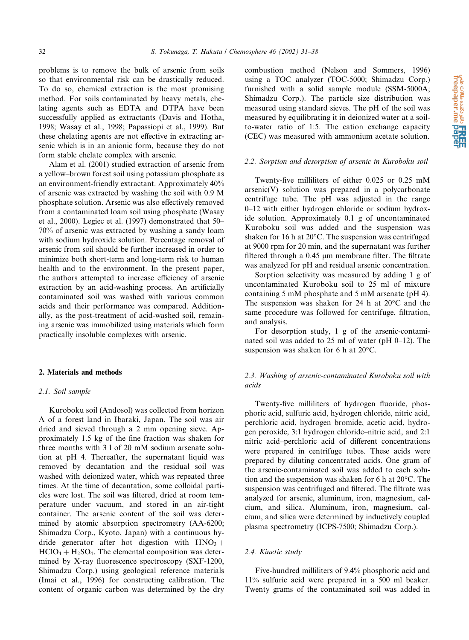problems is to remove the bulk of arsenic from soils so that environmental risk can be drastically reduced. To do so, chemical extraction is the most promising method. For soils contaminated by heavy metals, chelating agents such as EDTA and DTPA have been successfully applied as extractants (Davis and Hotha, 1998; Wasay et al., 1998; Papassiopi et al., 1999). But these chelating agents are not effective in extracting arsenic which is in an anionic form, because they do not form stable chelate complex with arsenic.

Alam et al. (2001) studied extraction of arsenic from a yellow-brown forest soil using potassium phosphate as an environment-friendly extractant. Approximately 40% of arsenic was extracted by washing the soil with 0.9 M phosphate solution. Arsenic was also effectively removed from a contaminated loam soil using phosphate (Wasay et al., 2000). Legiec et al. (1997) demonstrated that 50-70% of arsenic was extracted by washing a sandy loam with sodium hydroxide solution. Percentage removal of arsenic from soil should be further increased in order to minimize both short-term and long-term risk to human health and to the environment. In the present paper, the authors attempted to increase efficiency of arsenic extraction by an acid-washing process. An artificially contaminated soil was washed with various common acids and their performance was compared. Additionally, as the post-treatment of acid-washed soil, remaining arsenic was immobilized using materials which form practically insoluble complexes with arsenic.

#### 2. Materials and methods

#### 2.1. Soil sample

Kuroboku soil (Andosol) was collected from horizon A of a forest land in Ibaraki, Japan. The soil was air dried and sieved through a 2 mm opening sieve. Approximately 1.5 kg of the fine fraction was shaken for three months with 3 1 of 20 mM sodium arsenate solution at pH 4. Thereafter, the supernatant liquid was removed by decantation and the residual soil was washed with deionized water, which was repeated three times. At the time of decantation, some colloidal particles were lost. The soil was filtered, dried at room temperature under vacuum, and stored in an air-tight container. The arsenic content of the soil was determined by atomic absorption spectrometry (AA-6200; Shimadzu Corp., Kyoto, Japan) with a continuous hydride generator after hot digestion with  $HNO<sub>3</sub> +$  $HCIO<sub>4</sub> + H<sub>2</sub>SO<sub>4</sub>$ . The elemental composition was determined by X-ray fluorescence spectroscopy (SXF-1200, Shimadzu Corp.) using geological reference materials (Imai et al., 1996) for constructing calibration. The content of organic carbon was determined by the dry

combustion method (Nelson and Sommers, 1996) using a TOC analyzer (TOC-5000; Shimadzu Corp.) furnished with a solid sample module (SSM-5000A; Shimadzu Corp.). The particle size distribution was measured using standard sieves. The pH of the soil was measured by equilibrating it in deionized water at a soilto-water ratio of 1:5. The cation exchange capacity (CEC) was measured with ammonium acetate solution.

#### 2.2. Sorption and desorption of arsenic in Kuroboku soil

Twenty-five milliliters of either 0.025 or 0.25 mM arsenic(V) solution was prepared in a polycarbonate centrifuge tube. The pH was adjusted in the range 0-12 with either hydrogen chloride or sodium hydroxide solution. Approximately 0.1 g of uncontaminated Kuroboku soil was added and the suspension was shaken for 16 h at 20°C. The suspension was centrifuged at 9000 rpm for 20 min, and the supernatant was further filtered through a 0.45 µm membrane filter. The filtrate was analyzed for pH and residual arsenic concentration.

Sorption selectivity was measured by adding 1 g of uncontaminated Kuroboku soil to 25 ml of mixture containing 5 mM phosphate and 5 mM arsenate (pH 4). The suspension was shaken for 24 h at  $20^{\circ}$ C and the same procedure was followed for centrifuge, filtration, and analysis.

For desorption study, 1 g of the arsenic-contaminated soil was added to 25 ml of water (pH $-12$ ). The suspension was shaken for 6 h at 20°C.

# 2.3. Washing of arsenic-contaminated Kuroboku soil with acids

Twenty-five milliliters of hydrogen fluoride, phosphoric acid, sulfuric acid, hydrogen chloride, nitric acid, perchloric acid, hydrogen bromide, acetic acid, hydrogen peroxide, 3:1 hydrogen chloride–nitric acid, and 2:1 nitric acid-perchloric acid of different concentrations were prepared in centrifuge tubes. These acids were prepared by diluting concentrated acids. One gram of the arsenic-contaminated soil was added to each solution and the suspension was shaken for 6 h at 20°C. The suspension was centrifuged and filtered. The filtrate was analyzed for arsenic, aluminum, iron, magnesium, calcium, and silica. Aluminum, iron, magnesium, calcium, and silica were determined by inductively coupled plasma spectrometry (ICPS-7500; Shimadzu Corp.).

## 2.4. Kinetic study

Five-hundred milliliters of 9.4% phosphoric acid and 11% sulfuric acid were prepared in a 500 ml beaker. Twenty grams of the contaminated soil was added in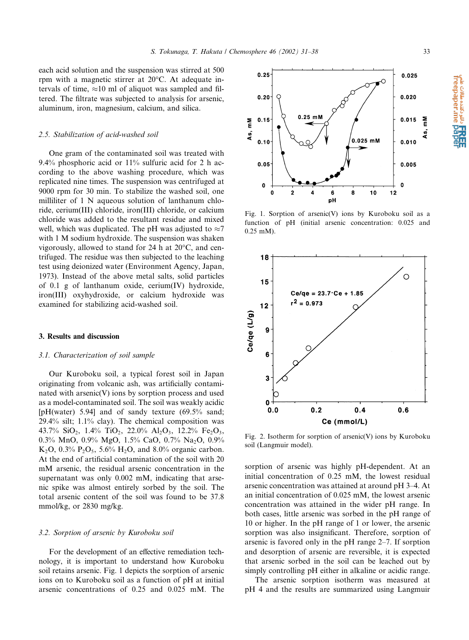each acid solution and the suspension was stirred at 500 rpm with a magnetic stirrer at 20°C. At adequate intervals of time,  $\approx 10$  ml of aliquot was sampled and filtered. The filtrate was subjected to analysis for arsenic, aluminum, iron, magnesium, calcium, and silica.

#### 2.5. Stabilization of acid-washed soil

One gram of the contaminated soil was treated with 9.4% phosphoric acid or 11% sulfuric acid for 2 h according to the above washing procedure, which was replicated nine times. The suspension was centrifuged at 9000 rpm for 30 min. To stabilize the washed soil, one milliliter of 1 N aqueous solution of lanthanum chloride, cerium(III) chloride, iron(III) chloride, or calcium chloride was added to the resultant residue and mixed well, which was duplicated. The pH was adjusted to  $\approx$ 7 with 1 M sodium hydroxide. The suspension was shaken vigorously, allowed to stand for 24 h at 20 °C, and centrifuged. The residue was then subjected to the leaching test using deionized water (Environment Agency, Japan, 1973). Instead of the above metal salts, solid particles of 0.1 g of lanthanum oxide, cerium(IV) hydroxide, iron(III) oxyhydroxide, or calcium hydroxide was examined for stabilizing acid-washed soil.

#### 3. Results and discussion

#### 3.1. Characterization of soil sample

Our Kuroboku soil, a typical forest soil in Japan originating from volcanic ash, was artificially contaminated with arsenic(V) ions by sorption process and used as a model-contaminated soil. The soil was weakly acidic [pH(water) 5.94] and of sandy texture  $(69.5\% \text{ sand})$ ; 29.4% silt;  $1.1\%$  clay). The chemical composition was 43.7% SiO<sub>2</sub>, 1.4% TiO<sub>2</sub>, 22.0% Al<sub>2</sub>O<sub>3</sub>, 12.2% Fe<sub>2</sub>O<sub>3</sub>, 0.3% MnO, 0.9% MgO, 1.5% CaO, 0.7% Na<sub>2</sub>O, 0.9% K<sub>2</sub>O, 0.3% P<sub>2</sub>O<sub>5</sub>, 5.6% H<sub>2</sub>O, and 8.0% organic carbon. At the end of artificial contamination of the soil with 20 mM arsenic, the residual arsenic concentration in the supernatant was only 0.002 mM, indicating that arsenic spike was almost entirely sorbed by the soil. The total arsenic content of the soil was found to be 37.8 mmol/kg, or 2830 mg/kg.

#### 3.2. Sorption of arsenic by Kuroboku soil

For the development of an effective remediation technology, it is important to understand how Kuroboku soil retains arsenic. Fig. 1 depicts the sorption of arsenic ions on to Kuroboku soil as a function of pH at initial arsenic concentrations of 0.25 and 0.025 mM. The



Fig. 1. Sorption of arsenic(V) ions by Kuroboku soil as a function of pH (initial arsenic concentration: 0.025 and  $0.25$  mM).



Fig. 2. Isotherm for sorption of arsenic(V) ions by Kuroboku soil (Langmuir model).

sorption of arsenic was highly pH-dependent. At an initial concentration of 0.25 mM, the lowest residual arsenic concentration was attained at around pH 3-4. At an initial concentration of 0.025 mM, the lowest arsenic concentration was attained in the wider pH range. In both cases, little arsenic was sorbed in the pH range of 10 or higher. In the pH range of 1 or lower, the arsenic sorption was also insignificant. Therefore, sorption of arsenic is favored only in the pH range 2-7. If sorption and desorption of arsenic are reversible, it is expected that arsenic sorbed in the soil can be leached out by simply controlling pH either in alkaline or acidic range.

The arsenic sorption isotherm was measured at pH 4 and the results are summarized using Langmuir **ا دائر دسده مناسی**<br>freepaper.me **pa**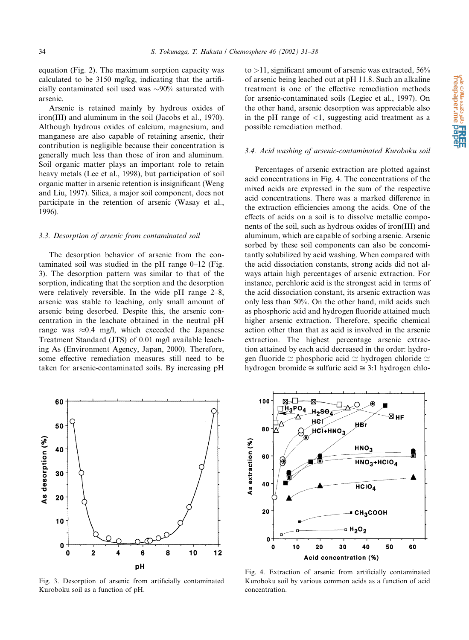equation (Fig. 2). The maximum sorption capacity was calculated to be 3150 mg/kg, indicating that the artificially contaminated soil used was  $\sim$ 90% saturated with arsenic.

Arsenic is retained mainly by hydrous oxides of iron(III) and aluminum in the soil (Jacobs et al., 1970). Although hydrous oxides of calcium, magnesium, and manganese are also capable of retaining arsenic, their contribution is negligible because their concentration is generally much less than those of iron and aluminum. Soil organic matter plays an important role to retain heavy metals (Lee et al., 1998), but participation of soil organic matter in arsenic retention is insignificant (Weng and Liu, 1997). Silica, a major soil component, does not participate in the retention of arsenic (Wasay et al., 1996).

#### 3.3. Desorption of arsenic from contaminated soil

The desorption behavior of arsenic from the contaminated soil was studied in the pH range  $0-12$  (Fig. 3). The desorption pattern was similar to that of the sorption, indicating that the sorption and the desorption were relatively reversible. In the wide pH range  $2-8$ , arsenic was stable to leaching, only small amount of arsenic being desorbed. Despite this, the arsenic concentration in the leachate obtained in the neutral pH range was  $\approx 0.4$  mg/l, which exceeded the Japanese Treatment Standard (JTS) of 0.01 mg/l available leaching As (Environment Agency, Japan, 2000). Therefore, some effective remediation measures still need to be taken for arsenic-contaminated soils. By increasing pH

60 50 As desorption (%) 40 30 20 10  $\mathbf 0$  $\mathbf 0$  $\overline{2}$ 6 8 10  $12$ pH

Fig. 3. Desorption of arsenic from artificially contaminated Kuroboku soil as a function of pH.

to  $>$ 11, significant amount of arsenic was extracted, 56% of arsenic being leached out at pH 11.8. Such an alkaline treatment is one of the effective remediation methods for arsenic-contaminated soils (Legiec et al., 1997). On the other hand, arsenic desorption was appreciable also in the pH range of  $\langle 1$ , suggesting acid treatment as a possible remediation method.

## 3.4. Acid washing of arsenic-contaminated Kuroboku soil

Percentages of arsenic extraction are plotted against acid concentrations in Fig. 4. The concentrations of the mixed acids are expressed in the sum of the respective acid concentrations. There was a marked difference in the extraction efficiencies among the acids. One of the effects of acids on a soil is to dissolve metallic components of the soil, such as hydrous oxides of iron(III) and aluminum, which are capable of sorbing arsenic. Arsenic sorbed by these soil components can also be concomitantly solubilized by acid washing. When compared with the acid dissociation constants, strong acids did not always attain high percentages of arsenic extraction. For instance, perchloric acid is the strongest acid in terms of the acid dissociation constant, its arsenic extraction was only less than 50%. On the other hand, mild acids such as phosphoric acid and hydrogen fluoride attained much higher arsenic extraction. Therefore, specific chemical action other than that as acid is involved in the arsenic extraction. The highest percentage arsenic extraction attained by each acid decreased in the order: hydrogen fluoride  $\cong$  phosphoric acid  $\cong$  hydrogen chloride  $\cong$ hydrogen bromide  $\cong$  sulfuric acid  $\cong$  3:1 hydrogen chlo-



Fig. 4. Extraction of arsenic from artificially contaminated Kuroboku soil by various common acids as a function of acid concentration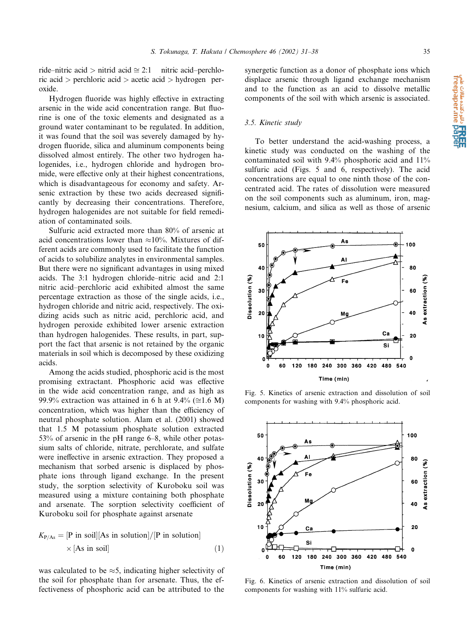a تا **PREE**<br>freepaper.me pape

ride-nitric acid > nitrid acid  $\approx$  2:1 nitric acid-perchloric acid > perchloric acid > acetic acid > hydrogen peroxide.

Hydrogen fluoride was highly effective in extracting arsenic in the wide acid concentration range. But fluorine is one of the toxic elements and designated as a ground water contaminant to be regulated. In addition, it was found that the soil was severely damaged by hydrogen fluoride, silica and aluminum components being dissolved almost entirely. The other two hydrogen halogenides, i.e., hydrogen chloride and hydrogen bromide, were effective only at their highest concentrations, which is disadvantageous for economy and safety. Arsenic extraction by these two acids decreased significantly by decreasing their concentrations. Therefore, hydrogen halogenides are not suitable for field remediation of contaminated soils.

Sulfuric acid extracted more than 80% of arsenic at acid concentrations lower than  $\approx 10\%$ . Mixtures of different acids are commonly used to facilitate the function of acids to solubilize analytes in environmental samples. But there were no significant advantages in using mixed acids. The 3:1 hydrogen chloride-nitric acid and 2:1 nitric acid-perchloric acid exhibited almost the same percentage extraction as those of the single acids, *i.e.*, hydrogen chloride and nitric acid, respectively. The oxidizing acids such as nitric acid, perchloric acid, and hydrogen peroxide exhibited lower arsenic extraction than hydrogen halogenides. These results, in part, support the fact that arsenic is not retained by the organic materials in soil which is decomposed by these oxidizing acids.

Among the acids studied, phosphoric acid is the most promising extractant. Phosphoric acid was effective in the wide acid concentration range, and as high as 99.9% extraction was attained in 6 h at 9.4% ( $\approx$ 1.6 M) concentration, which was higher than the efficiency of neutral phosphate solution. Alam et al. (2001) showed that 1.5 M potassium phosphate solution extracted 53% of arsenic in the pH range 6–8, while other potassium salts of chloride, nitrate, perchlorate, and sulfate were ineffective in arsenic extraction. They proposed a mechanism that sorbed arsenic is displaced by phosphate ions through ligand exchange. In the present study, the sorption selectivity of Kuroboku soil was measured using a mixture containing both phosphate and arsenate. The sorption selectivity coefficient of Kuroboku soil for phosphate against arsenate

$$
K_{P/As} = [P \text{ in soil}][As \text{ in solution}]/[P \text{ in solution}]
$$
  
× [As in soil] (1)

was calculated to be  $\approx$ 5, indicating higher selectivity of the soil for phosphate than for arsenate. Thus, the effectiveness of phosphoric acid can be attributed to the synergetic function as a donor of phosphate ions which displace arsenic through ligand exchange mechanism and to the function as an acid to dissolve metallic components of the soil with which arsenic is associated.

# 3.5. Kinetic study

To better understand the acid-washing process, a kinetic study was conducted on the washing of the contaminated soil with 9.4% phosphoric acid and 11% sulfuric acid (Figs. 5 and 6, respectively). The acid concentrations are equal to one ninth those of the concentrated acid. The rates of dissolution were measured on the soil components such as aluminum, iron, magnesium, calcium, and silica as well as those of arsenic



Fig. 5. Kinetics of arsenic extraction and dissolution of soil components for washing with 9.4% phosphoric acid.



Fig. 6. Kinetics of arsenic extraction and dissolution of soil components for washing with 11% sulfuric acid.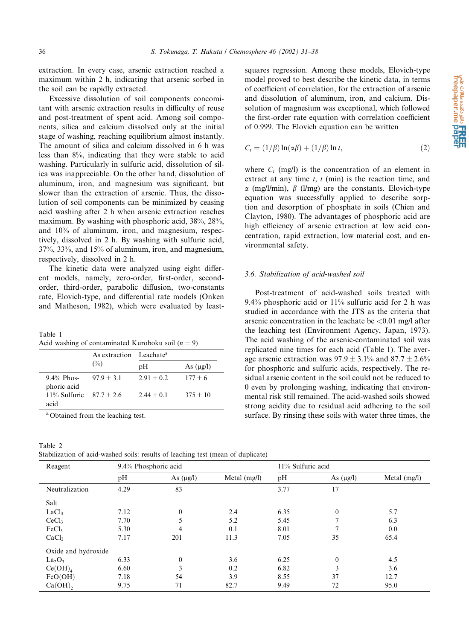extraction. In every case, arsenic extraction reached a maximum within 2 h, indicating that arsenic sorbed in the soil can be rapidly extracted.

Excessive dissolution of soil components concomitant with arsenic extraction results in difficulty of reuse and post-treatment of spent acid. Among soil components, silica and calcium dissolved only at the initial stage of washing, reaching equilibrium almost instantly. The amount of silica and calcium dissolved in 6 h was less than 8%, indicating that they were stable to acid washing. Particularly in sulfuric acid, dissolution of silica was inappreciable. On the other hand, dissolution of aluminum, iron, and magnesium was significant, but slower than the extraction of arsenic. Thus, the dissolution of soil components can be minimized by ceasing acid washing after 2 h when arsenic extraction reaches maximum. By washing with phosphoric acid, 38%, 28%, and 10% of aluminum, iron, and magnesium, respectively, dissolved in 2 h. By washing with sulfuric acid,  $37\%$ ,  $33\%$ , and  $15\%$  of aluminum, iron, and magnesium, respectively, dissolved in 2 h.

The kinetic data were analyzed using eight different models, namely, zero-order, first-order, secondorder, third-order, parabolic diffusion, two-constants rate, Elovich-type, and differential rate models (Onken and Matheson, 1982), which were evaluated by least-

| Table 1                                              |  |
|------------------------------------------------------|--|
| Acid washing of contaminated Kuroboku soil $(n = 9)$ |  |

|                              | As extraction Leachate <sup>a</sup> |                |                |  |
|------------------------------|-------------------------------------|----------------|----------------|--|
|                              | $\frac{O}{O}$                       | рH             | As $(\mu g/l)$ |  |
| $9.4\%$ Phos-<br>phoric acid | $97.9 + 3.1$                        | $2.91 + 0.2$   | $177 + 6$      |  |
| 11% Sulfuric<br>acid         | $87.7 + 2.6$                        | $2.44 \pm 0.1$ | $375 + 10$     |  |

<sup>a</sup> Obtained from the leaching test.

| Table 2                                                                          |  |
|----------------------------------------------------------------------------------|--|
| Stabilization of acid-washed soils: results of leaching test (mean of duplicate) |  |

squares regression. Among these models, Elovich-type model proved to best describe the kinetic data, in terms of coefficient of correlation, for the extraction of arsenic and dissolution of aluminum, iron, and calcium. Dissolution of magnesium was exceptional, which followed the first-order rate equation with correlation coefficient of 0.999. The Elovich equation can be written

$$
C_t = (1/\beta)\ln(\alpha\beta) + (1/\beta)\ln t,\tag{2}
$$

where  $C_t$  (mg/l) is the concentration of an element in extract at any time  $t$ ,  $t$  (min) is the reaction time, and  $\alpha$  (mg/l/min),  $\beta$  (l/mg) are the constants. Elovich-type equation was successfully applied to describe sorption and desorption of phosphate in soils (Chien and Clayton, 1980). The advantages of phosphoric acid are high efficiency of arsenic extraction at low acid concentration, rapid extraction, low material cost, and environmental safety.

# 3.6. Stabilization of acid-washed soil

Post-treatment of acid-washed soils treated with 9.4% phosphoric acid or 11% sulfuric acid for 2 h was studied in accordance with the JTS as the criteria that arsenic concentration in the leachate be  $\langle 0.01 \text{ mg/l} \rangle$  after the leaching test (Environment Agency, Japan, 1973). The acid washing of the arsenic-contaminated soil was replicated nine times for each acid (Table 1). The average arsenic extraction was  $97.9 \pm 3.1\%$  and  $87.7 \pm 2.6\%$ for phosphoric and sulfuric acids, respectively. The residual arsenic content in the soil could not be reduced to 0 even by prolonging washing, indicating that environmental risk still remained. The acid-washed soils showed strong acidity due to residual acid adhering to the soil surface. By rinsing these soils with water three times, the

| Reagent             |      | 9.4% Phosphoric acid |                |      | 11% Sulfuric acid |              |  |
|---------------------|------|----------------------|----------------|------|-------------------|--------------|--|
|                     | pH   | As $(\mu g/l)$       | Metal $(mg/l)$ | pH   | As $(\mu g/l)$    | Metal (mg/l) |  |
| Neutralization      | 4.29 | 83                   |                | 3.77 | 17                |              |  |
| Salt                |      |                      |                |      |                   |              |  |
| LaCl <sub>3</sub>   | 7.12 | $\Omega$             | 2.4            | 6.35 | $\theta$          | 5.7          |  |
| CeCl <sub>3</sub>   | 7.70 |                      | 5.2            | 5.45 |                   | 6.3          |  |
| FeCl <sub>3</sub>   | 5.30 | 4                    | 0.1            | 8.01 |                   | 0.0          |  |
| CaCl <sub>2</sub>   | 7.17 | 201                  | 11.3           | 7.05 | 35                | 65.4         |  |
| Oxide and hydroxide |      |                      |                |      |                   |              |  |
| $La_2O_3$           | 6.33 | $\theta$             | 3.6            | 6.25 | $\theta$          | 4.5          |  |
| $Ce(OH)_{4}$        | 6.60 | 3                    | 0.2            | 6.82 | 3                 | 3.6          |  |
| FeO(OH)             | 7.18 | 54                   | 3.9            | 8.55 | 37                | 12.7         |  |
| $Ca(OH)_2$          | 9.75 | 71                   | 82.7           | 9.49 | 72                | 95.0         |  |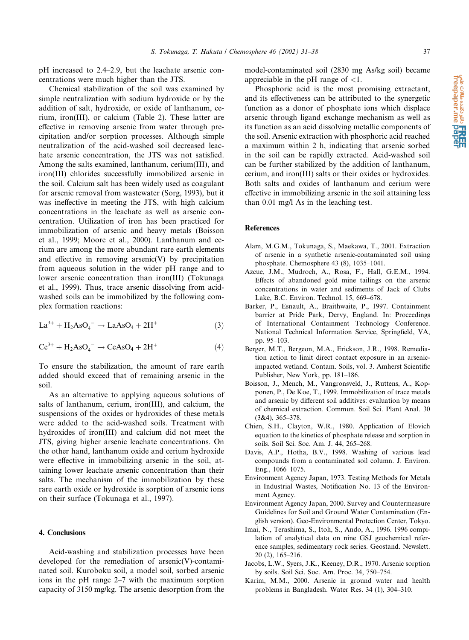pH increased to 2.4–2.9, but the leachate arsenic concentrations were much higher than the JTS.

Chemical stabilization of the soil was examined by simple neutralization with sodium hydroxide or by the addition of salt, hydroxide, or oxide of lanthanum, cerium, iron(III), or calcium (Table 2). These latter are effective in removing arsenic from water through precipitation and/or sorption processes. Although simple neutralization of the acid-washed soil decreased leachate arsenic concentration, the JTS was not satisfied. Among the salts examined, lanthanum, cerium(III), and iron(III) chlorides successfully immobilized arsenic in the soil. Calcium salt has been widely used as coagulant for arsenic removal from wastewater (Sorg, 1993), but it was ineffective in meeting the JTS, with high calcium concentrations in the leachate as well as arsenic concentration. Utilization of iron has been practiced for immobilization of arsenic and heavy metals (Boisson et al., 1999; Moore et al., 2000). Lanthanum and cerium are among the more abundant rare earth elements and effective in removing arsenic(V) by precipitation from aqueous solution in the wider pH range and to lower arsenic concentration than iron(III) (Tokunaga et al., 1999). Thus, trace arsenic dissolving from acidwashed soils can be immobilized by the following complex formation reactions:

$$
La^{3+} + H_2AsO_4^- \rightarrow LaAsO_4 + 2H^+ \tag{3}
$$

$$
Ce^{3+} + H_2AsO_4^- \rightarrow CeAsO_4 + 2H^+ \tag{4}
$$

To ensure the stabilization, the amount of rare earth added should exceed that of remaining arsenic in the soil.

As an alternative to applying aqueous solutions of salts of lanthanum, cerium, iron(III), and calcium, the suspensions of the oxides or hydroxides of these metals were added to the acid-washed soils. Treatment with hydroxides of iron(III) and calcium did not meet the JTS, giving higher arsenic leachate concentrations. On the other hand, lanthanum oxide and cerium hydroxide were effective in immobilizing arsenic in the soil, attaining lower leachate arsenic concentration than their salts. The mechanism of the immobilization by these rare earth oxide or hydroxide is sorption of arsenic ions on their surface (Tokunaga et al., 1997).

## 4. Conclusions

Acid-washing and stabilization processes have been developed for the remediation of arsenic(V)-contaminated soil. Kuroboku soil, a model soil, sorbed arsenic ions in the pH range  $2-7$  with the maximum sorption capacity of 3150 mg/kg. The arsenic desorption from the model-contaminated soil (2830 mg As/kg soil) became appreciable in the pH range of  $\langle 1$ .

Phosphoric acid is the most promising extractant, and its effectiveness can be attributed to the synergetic function as a donor of phosphate ions which displace arsenic through ligand exchange mechanism as well as its function as an acid dissolving metallic components of the soil. Arsenic extraction with phosphoric acid reached a maximum within 2 h, indicating that arsenic sorbed in the soil can be rapidly extracted. Acid-washed soil can be further stabilized by the addition of lanthanum, cerium, and iron(III) salts or their oxides or hydroxides. Both salts and oxides of lanthanum and cerium were effective in immobilizing arsenic in the soil attaining less than 0.01 mg/l As in the leaching test.

#### **References**

- Alam, M.G.M., Tokunaga, S., Maekawa, T., 2001. Extraction of arsenic in a synthetic arsenic-contaminated soil using phosphate. Chemosphere 43 (8), 1035-1041.
- Azcue, J.M., Mudroch, A., Rosa, F., Hall, G.E.M., 1994. Effects of abandoned gold mine tailings on the arsenic concentrations in water and sediments of Jack of Clubs Lake, B.C. Environ. Technol. 15, 669-678.
- Barker, P., Esnault, A., Braithwaite, P., 1997. Containment barrier at Pride Park, Dervy, England. In: Proceedings of International Containment Technology Conference. National Technical Information Service, Springfield, VA, pp. 95-103.
- Berger, M.T., Bergeon, M.A., Erickson, J.R., 1998. Remediation action to limit direct contact exposure in an arsenicimpacted wetland. Contam. Soils, vol. 3. Amherst Scientific Publisher, New York, pp. 181-186.
- Boisson, J., Mench, M., Vangronsveld, J., Ruttens, A., Kopponen, P., De Koe, T., 1999. Immobilization of trace metals and arsenic by different soil additives: evaluation by means of chemical extraction. Commun. Soil Sci. Plant Anal. 30  $(3&4)$ ,  $365-378$ .
- Chien, S.H., Clayton, W.R., 1980. Application of Elovich equation to the kinetics of phosphate release and sorption in soils. Soil Sci. Soc. Am. J. 44, 265-268.
- Davis, A.P., Hotha, B.V., 1998. Washing of various lead compounds from a contaminated soil column. J. Environ. Eng., 1066-1075.
- Environment Agency Japan, 1973. Testing Methods for Metals in Industrial Wastes, Notification No. 13 of the Environment Agency.
- Environment Agency Japan, 2000. Survey and Countermeasure Guidelines for Soil and Ground Water Contamination (English version). Geo-Environmental Protection Center, Tokyo.
- Imai, N., Terashima, S., Itoh, S., Ando, A., 1996. 1996 compilation of analytical data on nine GSJ geochemical reference samples, sedimentary rock series. Geostand. Newslett.  $20(2)$ ,  $165-216$ .
- Jacobs, L.W., Syers, J.K., Keeney, D.R., 1970. Arsenic sorption by soils. Soil Sci. Soc. Am. Proc. 34, 750-754.
- Karim, M.M., 2000. Arsenic in ground water and health problems in Bangladesh. Water Res. 34 (1), 304-310.

37